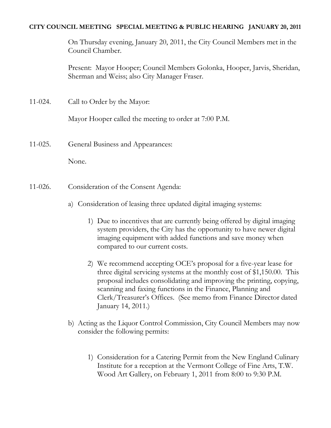#### **CITY COUNCIL MEETING SPECIAL MEETING & PUBLIC HEARING JANUARY 20, 2011**

On Thursday evening, January 20, 2011, the City Council Members met in the Council Chamber.

Present: Mayor Hooper; Council Members Golonka, Hooper, Jarvis, Sheridan, Sherman and Weiss; also City Manager Fraser.

11-024. Call to Order by the Mayor:

Mayor Hooper called the meeting to order at 7:00 P.M.

11-025. General Business and Appearances:

None.

- 11-026. Consideration of the Consent Agenda:
	- a) Consideration of leasing three updated digital imaging systems:
		- 1) Due to incentives that are currently being offered by digital imaging system providers, the City has the opportunity to have newer digital imaging equipment with added functions and save money when compared to our current costs.
		- 2) We recommend accepting OCE's proposal for a five-year lease for three digital servicing systems at the monthly cost of \$1,150.00. This proposal includes consolidating and improving the printing, copying, scanning and faxing functions in the Finance, Planning and Clerk/Treasurer's Offices. (See memo from Finance Director dated January 14, 2011.)
	- b) Acting as the Liquor Control Commission, City Council Members may now consider the following permits:
		- 1) Consideration for a Catering Permit from the New England Culinary Institute for a reception at the Vermont College of Fine Arts, T.W. Wood Art Gallery, on February 1, 2011 from 8:00 to 9:30 P.M.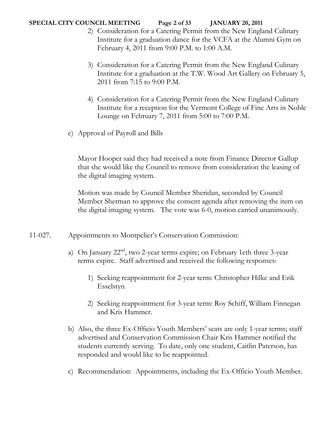### **SPECIAL CITY COUNCIL MEETING Page 2 of 33 JANUARY 20, 2011**

- 2) Consideration for a Catering Permit from the New England Culinary Institute for a graduation dance for the VCFA at the Alumni Gym on February 4, 2011 from 9:00 P.M. to 1:00 A.M.
- 3) Consideration for a Catering Permit from the New England Culinary Institute for a graduation at the T.W. Wood Art Gallery on February 5, 2011 from 7:15 to 9:00 P.M.
- 4) Consideration for a Catering Permit from the New England Culinary Institute for a reception for the Vermont College of Fine Arts in Noble Lounge on February 7, 2011 from 5:00 to 7:00 P.M.
- c) Approval of Payroll and Bills

Mayor Hooper said they had received a note from Finance Director Gallup that she would like the Council to remove from consideration the leasing of the digital imaging system.

Motion was made by Council Member Sheridan, seconded by Council Member Sherman to approve the consent agenda after removing the item on the digital imaging system. The vote was 6-0, motion carried unanimously.

- 11-027. Appointments to Montpelier's Conservation Commission:
	- a) On January  $22<sup>nd</sup>$ , two 2-year terms expire; on February 1eth three 3-year terms expire. Staff advertised and received the following responses:
		- 1) Seeking reappointment for 2-year term: Christopher Hilke and Erik Esselstyn
		- 2) Seeking reappointment for 3-year term: Roy Schiff, William Finnegan and Kris Hammer.
	- b) Also, the three Ex-Officio Youth Members' seats are only 1-year terms; staff advertised and Conservation Commission Chair Kris Hammer notified the students currently serving. To date, only one student, Caitlin Paterson, has responded and would like to be reappointed.
	- c) Recommendation: Appointments, including the Ex-Officio Youth Member.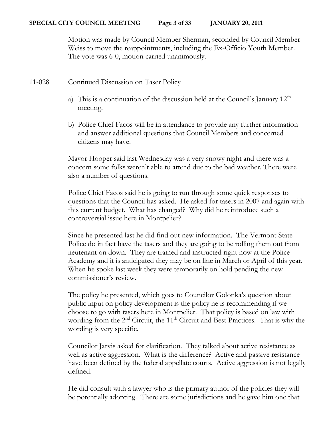Motion was made by Council Member Sherman, seconded by Council Member Weiss to move the reappointments, including the Ex-Officio Youth Member. The vote was 6-0, motion carried unanimously.

- 11-028 Continued Discussion on Taser Policy
	- a) This is a continuation of the discussion held at the Council's January  $12<sup>th</sup>$ meeting.
	- b) Police Chief Facos will be in attendance to provide any further information and answer additional questions that Council Members and concerned citizens may have.

Mayor Hooper said last Wednesday was a very snowy night and there was a concern some folks weren't able to attend due to the bad weather. There were also a number of questions.

Police Chief Facos said he is going to run through some quick responses to questions that the Council has asked. He asked for tasers in 2007 and again with this current budget. What has changed? Why did he reintroduce such a controversial issue here in Montpelier?

Since he presented last he did find out new information. The Vermont State Police do in fact have the tasers and they are going to be rolling them out from lieutenant on down. They are trained and instructed right now at the Police Academy and it is anticipated they may be on line in March or April of this year. When he spoke last week they were temporarily on hold pending the new commissioner's review.

The policy he presented, which goes to Councilor Golonka's question about public input on policy development is the policy he is recommending if we choose to go with tasers here in Montpelier. That policy is based on law with wording from the  $2<sup>nd</sup>$  Circuit, the 11<sup>th</sup> Circuit and Best Practices. That is why the wording is very specific.

Councilor Jarvis asked for clarification. They talked about active resistance as well as active aggression. What is the difference? Active and passive resistance have been defined by the federal appellate courts. Active aggression is not legally defined.

He did consult with a lawyer who is the primary author of the policies they will be potentially adopting. There are some jurisdictions and he gave him one that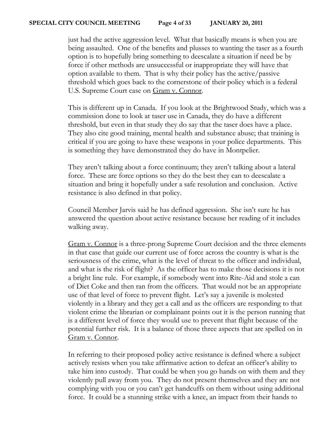just had the active aggression level. What that basically means is when you are being assaulted. One of the benefits and plusses to wanting the taser as a fourth option is to hopefully bring something to deescalate a situation if need be by force if other methods are unsuccessful or inappropriate they will have that option available to them. That is why their policy has the active/passive threshold which goes back to the cornerstone of their policy which is a federal U.S. Supreme Court case on **Gram v. Connor.** 

This is different up in Canada. If you look at the Brightwood Study, which was a commission done to look at taser use in Canada, they do have a different threshold, but even in that study they do say that the taser does have a place. They also cite good training, mental health and substance abuse; that training is critical if you are going to have these weapons in your police departments. This is something they have demonstrated they do have in Montpelier.

They aren't talking about a force continuum; they aren't talking about a lateral force. These are force options so they do the best they can to deescalate a situation and bring it hopefully under a safe resolution and conclusion. Active resistance is also defined in that policy.

Council Member Jarvis said he has defined aggression. She isn't sure he has answered the question about active resistance because her reading of it includes walking away.

Gram v. Connor is a three-prong Supreme Court decision and the three elements in that case that guide our current use of force across the country is what is the seriousness of the crime, what is the level of threat to the officer and individual, and what is the risk of flight? As the officer has to make those decisions it is not a bright line rule. For example, if somebody went into Rite-Aid and stole a can of Diet Coke and then ran from the officers. That would not be an appropriate use of that level of force to prevent flight. Let's say a juvenile is molested violently in a library and they get a call and as the officers are responding to that violent crime the librarian or complainant points out it is the person running that is a different level of force they would use to prevent that flight because of the potential further risk. It is a balance of those three aspects that are spelled on in Gram v. Connor.

In referring to their proposed policy active resistance is defined where a subject actively resists when you take affirmative action to defeat an officer's ability to take him into custody. That could be when you go hands on with them and they violently pull away from you. They do not present themselves and they are not complying with you or you can't get handcuffs on them without using additional force. It could be a stunning strike with a knee, an impact from their hands to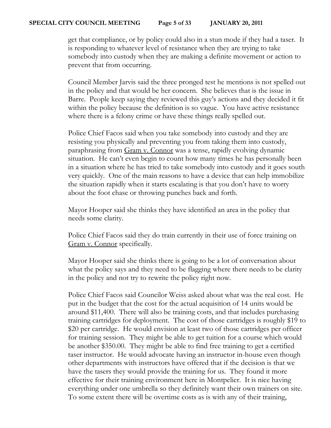get that compliance, or by policy could also in a stun mode if they had a taser. It is responding to whatever level of resistance when they are trying to take somebody into custody when they are making a definite movement or action to prevent that from occurring.

Council Member Jarvis said the three pronged test he mentions is not spelled out in the policy and that would be her concern. She believes that is the issue in Barre. People keep saying they reviewed this guy's actions and they decided it fit within the policy because the definition is so vague. You have active resistance where there is a felony crime or have these things really spelled out.

Police Chief Facos said when you take somebody into custody and they are resisting you physically and preventing you from taking them into custody, paraphrasing from Gram v. Connor was a tense, rapidly evolving dynamic situation. He can't even begin to count how many times he has personally been in a situation where he has tried to take somebody into custody and it goes south very quickly. One of the main reasons to have a device that can help immobilize the situation rapidly when it starts escalating is that you don't have to worry about the foot chase or throwing punches back and forth.

Mayor Hooper said she thinks they have identified an area in the policy that needs some clarity.

Police Chief Facos said they do train currently in their use of force training on Gram v. Connor specifically.

Mayor Hooper said she thinks there is going to be a lot of conversation about what the policy says and they need to be flagging where there needs to be clarity in the policy and not try to rewrite the policy right now.

Police Chief Facos said Councilor Weiss asked about what was the real cost. He put in the budget that the cost for the actual acquisition of 14 units would be around \$11,400. There will also be training costs, and that includes purchasing training cartridges for deployment. The cost of those cartridges is roughly \$19 to \$20 per cartridge. He would envision at least two of those cartridges per officer for training session. They might be able to get tuition for a course which would be another \$350.00. They might be able to find free training to get a certified taser instructor. He would advocate having an instructor in-house even though other departments with instructors have offered that if the decision is that we have the tasers they would provide the training for us. They found it more effective for their training environment here in Montpelier. It is nice having everything under one umbrella so they definitely want their own trainers on site. To some extent there will be overtime costs as is with any of their training,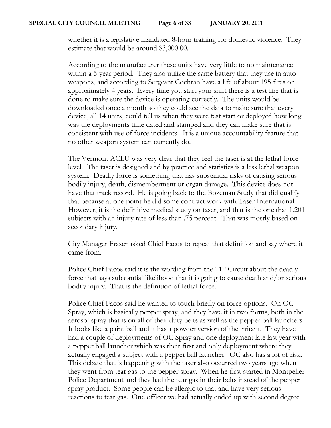whether it is a legislative mandated 8-hour training for domestic violence. They estimate that would be around \$3,000.00.

According to the manufacturer these units have very little to no maintenance within a 5-year period. They also utilize the same battery that they use in auto weapons, and according to Sergeant Cochran have a life of about 195 fires or approximately 4 years. Every time you start your shift there is a test fire that is done to make sure the device is operating correctly. The units would be downloaded once a month so they could see the data to make sure that every device, all 14 units, could tell us when they were test start or deployed how long was the deployments time dated and stamped and they can make sure that is consistent with use of force incidents. It is a unique accountability feature that no other weapon system can currently do.

The Vermont ACLU was very clear that they feel the taser is at the lethal force level. The taser is designed and by practice and statistics is a less lethal weapon system. Deadly force is something that has substantial risks of causing serious bodily injury, death, dismemberment or organ damage. This device does not have that track record. He is going back to the Bozeman Study that did qualify that because at one point he did some contract work with Taser International. However, it is the definitive medical study on taser, and that is the one that 1,201 subjects with an injury rate of less than .75 percent. That was mostly based on secondary injury.

City Manager Fraser asked Chief Facos to repeat that definition and say where it came from.

Police Chief Facos said it is the wording from the  $11<sup>th</sup>$  Circuit about the deadly force that says substantial likelihood that it is going to cause death and/or serious bodily injury. That is the definition of lethal force.

Police Chief Facos said he wanted to touch briefly on force options. On OC Spray, which is basically pepper spray, and they have it in two forms, both in the aerosol spray that is on all of their duty belts as well as the pepper ball launchers. It looks like a paint ball and it has a powder version of the irritant. They have had a couple of deployments of OC Spray and one deployment late last year with a pepper ball launcher which was their first and only deployment where they actually engaged a subject with a pepper ball launcher. OC also has a lot of risk. This debate that is happening with the taser also occurred two years ago when they went from tear gas to the pepper spray. When he first started in Montpelier Police Department and they had the tear gas in their belts instead of the pepper spray product. Some people can be allergic to that and have very serious reactions to tear gas. One officer we had actually ended up with second degree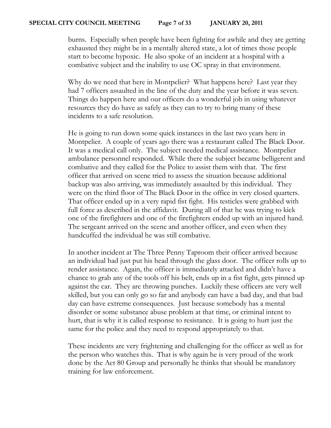burns. Especially when people have been fighting for awhile and they are getting exhausted they might be in a mentally altered state, a lot of times those people start to become hypoxic. He also spoke of an incident at a hospital with a combative subject and the inability to use OC spray in that environment.

Why do we need that here in Montpelier? What happens here? Last year they had 7 officers assaulted in the line of the duty and the year before it was seven. Things do happen here and our officers do a wonderful job in using whatever resources they do have as safely as they can to try to bring many of these incidents to a safe resolution.

He is going to run down some quick instances in the last two years here in Montpelier. A couple of years ago there was a restaurant called The Black Door. It was a medical call only. The subject needed medical assistance. Montpelier ambulance personnel responded. While there the subject became belligerent and combative and they called for the Police to assist them with that. The first officer that arrived on scene tried to assess the situation because additional backup was also arriving, was immediately assaulted by this individual. They were on the third floor of The Black Door in the office in very closed quarters. That officer ended up in a very rapid fist fight. His testicles were grabbed with full force as described in the affidavit. During all of that he was trying to kick one of the firefighters and one of the firefighters ended up with an injured hand. The sergeant arrived on the scene and another officer, and even when they handcuffed the individual he was still combative.

In another incident at The Three Penny Taproom their officer arrived because an individual had just put his head through the glass door. The officer rolls up to render assistance. Again, the officer is immediately attacked and didn't have a chance to grab any of the tools off his belt, ends up in a fist fight, gets pinned up against the car. They are throwing punches. Luckily these officers are very well skilled, but you can only go so far and anybody can have a bad day, and that bad day can have extreme consequences. Just because somebody has a mental disorder or some substance abuse problem at that time, or criminal intent to hurt, that is why it is called response to resistance. It is going to hurt just the same for the police and they need to respond appropriately to that.

These incidents are very frightening and challenging for the officer as well as for the person who watches this. That is why again he is very proud of the work done by the Act 80 Group and personally he thinks that should be mandatory training for law enforcement.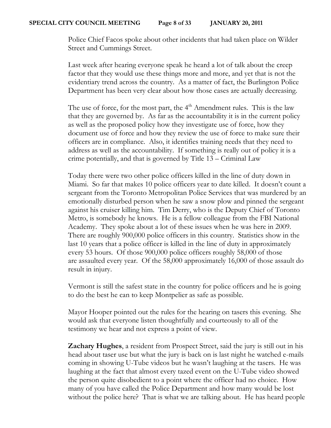Police Chief Facos spoke about other incidents that had taken place on Wilder Street and Cummings Street.

Last week after hearing everyone speak he heard a lot of talk about the creep factor that they would use these things more and more, and yet that is not the evidentiary trend across the country. As a matter of fact, the Burlington Police Department has been very clear about how those cases are actually decreasing.

The use of force, for the most part, the  $4<sup>th</sup>$  Amendment rules. This is the law that they are governed by. As far as the accountability it is in the current policy as well as the proposed policy how they investigate use of force, how they document use of force and how they review the use of force to make sure their officers are in compliance. Also, it identifies training needs that they need to address as well as the accountability. If something is really out of policy it is a crime potentially, and that is governed by Title 13 – Criminal Law

Today there were two other police officers killed in the line of duty down in Miami. So far that makes 10 police officers year to date killed. It doesn't count a sergeant from the Toronto Metropolitan Police Services that was murdered by an emotionally disturbed person when he saw a snow plow and pinned the sergeant against his cruiser killing him. Tim Derry, who is the Deputy Chief of Toronto Metro, is somebody he knows. He is a fellow colleague from the FBI National Academy. They spoke about a lot of these issues when he was here in 2009. There are roughly 900,000 police officers in this country. Statistics show in the last 10 years that a police officer is killed in the line of duty in approximately every 53 hours. Of those 900,000 police officers roughly 58,000 of those are assaulted every year. Of the 58,000 approximately 16,000 of those assault do result in injury.

Vermont is still the safest state in the country for police officers and he is going to do the best he can to keep Montpelier as safe as possible.

Mayor Hooper pointed out the rules for the hearing on tasers this evening. She would ask that everyone listen thoughtfully and courteously to all of the testimony we hear and not express a point of view.

**Zachary Hughes**, a resident from Prospect Street, said the jury is still out in his head about taser use but what the jury is back on is last night he watched e-mails coming in showing U-Tube videos but he wasn't laughing at the tasers. He was laughing at the fact that almost every tazed event on the U-Tube video showed the person quite disobedient to a point where the officer had no choice. How many of you have called the Police Department and how many would be lost without the police here? That is what we are talking about. He has heard people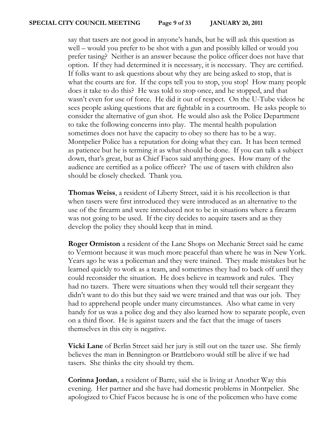say that tasers are not good in anyone's hands, but he will ask this question as well – would you prefer to be shot with a gun and possibly killed or would you prefer tasing? Neither is an answer because the police officer does not have that option. If they had determined it is necessary, it is necessary. They are certified. If folks want to ask questions about why they are being asked to stop, that is what the courts are for. If the cops tell you to stop, you stop! How many people does it take to do this? He was told to stop once, and he stopped, and that wasn't even for use of force. He did it out of respect. On the U-Tube videos he sees people asking questions that are fightable in a courtroom. He asks people to consider the alternative of gun shot. He would also ask the Police Department to take the following concerns into play. The mental health population sometimes does not have the capacity to obey so there has to be a way. Montpelier Police has a reputation for doing what they can. It has been termed as patience but he is terming it as what should be done. If you can talk a subject down, that's great, but as Chief Facos said anything goes. How many of the audience are certified as a police officer? The use of tasers with children also should be closely checked. Thank you.

**Thomas Weiss**, a resident of Liberty Street, said it is his recollection is that when tasers were first introduced they were introduced as an alternative to the use of the firearm and were introduced not to be in situations where a firearm was not going to be used. If the city decides to acquire tasers and as they develop the policy they should keep that in mind.

**Roger Ormiston** a resident of the Lane Shops on Mechanic Street said he came to Vermont because it was much more peaceful than where he was in New York. Years ago he was a policeman and they were trained. They made mistakes but he learned quickly to work as a team, and sometimes they had to back off until they could reconsider the situation. He does believe in teamwork and rules. They had no tazers. There were situations when they would tell their sergeant they didn't want to do this but they said we were trained and that was our job. They had to apprehend people under many circumstances. Also what came in very handy for us was a police dog and they also learned how to separate people, even on a third floor. He is against tazers and the fact that the image of tasers themselves in this city is negative.

**Vicki Lane** of Berlin Street said her jury is still out on the tazer use. She firmly believes the man in Bennington or Brattleboro would still be alive if we had tasers. She thinks the city should try them.

**Corinna Jordan**, a resident of Barre, said she is living at Another Way this evening. Her partner and she have had domestic problems in Montpelier. She apologized to Chief Facos because he is one of the policemen who have come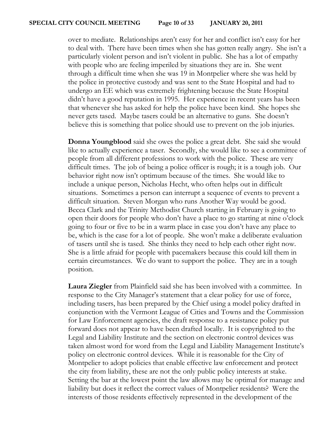over to mediate. Relationships aren't easy for her and conflict isn't easy for her to deal with. There have been times when she has gotten really angry. She isn't a particularly violent person and isn't violent in public. She has a lot of empathy with people who are feeling imperiled by situations they are in. She went through a difficult time when she was 19 in Montpelier where she was held by the police in protective custody and was sent to the State Hospital and had to undergo an EE which was extremely frightening because the State Hospital didn't have a good reputation in 1995. Her experience in recent years has been that whenever she has asked for help the police have been kind. She hopes she never gets tased. Maybe tasers could be an alternative to guns. She doesn't believe this is something that police should use to prevent on the job injuries.

**Donna Youngblood** said she owes the police a great debt. She said she would like to actually experience a taser. Secondly, she would like to see a committee of people from all different professions to work with the police. These are very difficult times. The job of being a police officer is rough; it is a tough job. Our behavior right now isn't optimum because of the times. She would like to include a unique person, Nicholas Hecht, who often helps out in difficult situations. Sometimes a person can interrupt a sequence of events to prevent a difficult situation. Steven Morgan who runs Another Way would be good. Becca Clark and the Trinity Methodist Church starting in February is going to open their doors for people who don't have a place to go starting at nine o'clock going to four or five to be in a warm place in case you don't have any place to be, which is the case for a lot of people. She won't make a deliberate evaluation of tasers until she is tased. She thinks they need to help each other right now. She is a little afraid for people with pacemakers because this could kill them in certain circumstances. We do want to support the police. They are in a tough position.

**Laura Ziegler** from Plainfield said she has been involved with a committee. In response to the City Manager's statement that a clear policy for use of force, including tasers, has been prepared by the Chief using a model policy drafted in conjunction with the Vermont League of Cities and Towns and the Commission for Law Enforcement agencies, the draft response to a resistance policy put forward does not appear to have been drafted locally. It is copyrighted to the Legal and Liability Institute and the section on electronic control devices was taken almost word for word from the Legal and Liability Management Institute's policy on electronic control devices. While it is reasonable for the City of Montpelier to adopt policies that enable effective law enforcement and protect the city from liability, these are not the only public policy interests at stake. Setting the bar at the lowest point the law allows may be optimal for manage and liability but does it reflect the correct values of Montpelier residents? Were the interests of those residents effectively represented in the development of the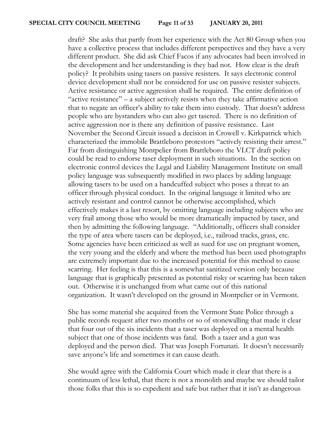draft? She asks that partly from her experience with the Act 80 Group when you have a collective process that includes different perspectives and they have a very different product. She did ask Chief Facos if any advocates had been involved in the development and her understanding is they had not. How clear is the draft policy? It prohibits using tasers on passive resisters. It says electronic control device development shall not be considered for use on passive resister subjects. Active resistance or active aggression shall be required. The entire definition of "active resistance" – a subject actively resists when they take affirmative action that to negate an officer's ability to take them into custody. That doesn't address people who are bystanders who can also get tasered. There is no definition of active aggression nor is there any definition of passive resistance. Last November the Second Circuit issued a decision in Crowell v. Kirkpatrick which characterized the immobile Brattleboro protestors "actively resisting their arrest." Far from distinguishing Montpelier from Brattleboro the VLCT draft policy could be read to endorse taser deployment in such situations. In the section on electronic control devices the Legal and Liability Management Institute on small policy language was subsequently modified in two places by adding language allowing tasers to be used on a handcuffed subject who poses a threat to an officer through physical conduct. In the original language it limited who are actively resistant and control cannot be otherwise accomplished, which effectively makes it a last resort, by omitting language including subjects who are very frail among those who would be more dramatically impacted by taser, and then by admitting the following language. "Additionally, officers shall consider the type of area where tasers can be deployed, i.e., railroad tracks, grass, etc. Some agencies have been criticized as well as sued for use on pregnant women, the very young and the elderly and where the method has been used photographs are extremely important due to the increased potential for this method to cause scarring. Her feeling is that this is a somewhat sanitized version only because language that is graphically presented as potential risky or scarring has been taken out. Otherwise it is unchanged from what came out of this national organization. It wasn't developed on the ground in Montpelier or in Vermont.

She has some material she acquired from the Vermont State Police through a public records request after two months or so of stonewalling that made it clear that four out of the six incidents that a taser was deployed on a mental health subject that one of those incidents was fatal. Both a tazer and a gun was deployed and the person died. That was Joseph Fortunati. It doesn't necessarily save anyone's life and sometimes it can cause death.

She would agree with the California Court which made it clear that there is a continuum of less lethal, that there is not a monolith and maybe we should tailor those folks that this is so expedient and safe but rather that it isn't as dangerous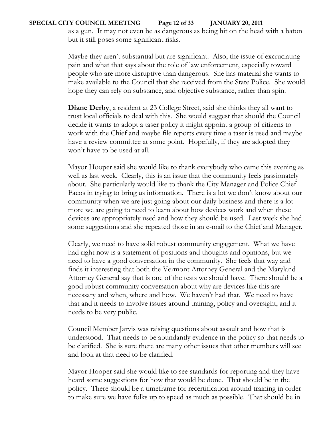## **SPECIAL CITY COUNCIL MEETING Page 12 of 33 JANUARY 20, 2011**

as a gun. It may not even be as dangerous as being hit on the head with a baton but it still poses some significant risks.

Maybe they aren't substantial but are significant. Also, the issue of excruciating pain and what that says about the role of law enforcement, especially toward people who are more disruptive than dangerous. She has material she wants to make available to the Council that she received from the State Police. She would hope they can rely on substance, and objective substance, rather than spin.

**Diane Derby**, a resident at 23 College Street, said she thinks they all want to trust local officials to deal with this. She would suggest that should the Council decide it wants to adopt a taser policy it might appoint a group of citizens to work with the Chief and maybe file reports every time a taser is used and maybe have a review committee at some point. Hopefully, if they are adopted they won't have to be used at all.

Mayor Hooper said she would like to thank everybody who came this evening as well as last week. Clearly, this is an issue that the community feels passionately about. She particularly would like to thank the City Manager and Police Chief Facos in trying to bring us information. There is a lot we don't know about our community when we are just going about our daily business and there is a lot more we are going to need to learn about how devices work and when these devices are appropriately used and how they should be used. Last week she had some suggestions and she repeated those in an e-mail to the Chief and Manager.

Clearly, we need to have solid robust community engagement. What we have had right now is a statement of positions and thoughts and opinions, but we need to have a good conversation in the community. She feels that way and finds it interesting that both the Vermont Attorney General and the Maryland Attorney General say that is one of the tests we should have. There should be a good robust community conversation about why are devices like this are necessary and when, where and how. We haven't had that. We need to have that and it needs to involve issues around training, policy and oversight, and it needs to be very public.

Council Member Jarvis was raising questions about assault and how that is understood. That needs to be abundantly evidence in the policy so that needs to be clarified. She is sure there are many other issues that other members will see and look at that need to be clarified.

Mayor Hooper said she would like to see standards for reporting and they have heard some suggestions for how that would be done. That should be in the policy. There should be a timeframe for recertification around training in order to make sure we have folks up to speed as much as possible. That should be in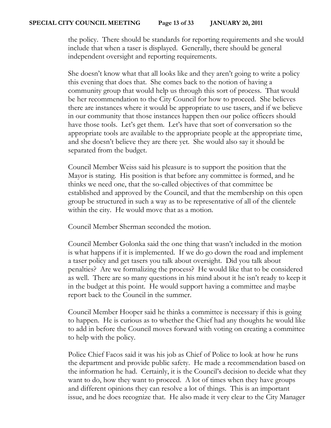the policy. There should be standards for reporting requirements and she would include that when a taser is displayed. Generally, there should be general independent oversight and reporting requirements.

She doesn't know what that all looks like and they aren't going to write a policy this evening that does that. She comes back to the notion of having a community group that would help us through this sort of process. That would be her recommendation to the City Council for how to proceed. She believes there are instances where it would be appropriate to use tasers, and if we believe in our community that those instances happen then our police officers should have those tools. Let's get them. Let's have that sort of conversation so the appropriate tools are available to the appropriate people at the appropriate time, and she doesn't believe they are there yet. She would also say it should be separated from the budget.

Council Member Weiss said his pleasure is to support the position that the Mayor is stating. His position is that before any committee is formed, and he thinks we need one, that the so-called objectives of that committee be established and approved by the Council, and that the membership on this open group be structured in such a way as to be representative of all of the clientele within the city. He would move that as a motion.

Council Member Sherman seconded the motion.

Council Member Golonka said the one thing that wasn't included in the motion is what happens if it is implemented. If we do go down the road and implement a taser policy and get tasers you talk about oversight. Did you talk about penalties? Are we formalizing the process? He would like that to be considered as well. There are so many questions in his mind about it he isn't ready to keep it in the budget at this point. He would support having a committee and maybe report back to the Council in the summer.

Council Member Hooper said he thinks a committee is necessary if this is going to happen. He is curious as to whether the Chief had any thoughts he would like to add in before the Council moves forward with voting on creating a committee to help with the policy.

Police Chief Facos said it was his job as Chief of Police to look at how he runs the department and provide public safety. He made a recommendation based on the information he had. Certainly, it is the Council's decision to decide what they want to do, how they want to proceed. A lot of times when they have groups and different opinions they can resolve a lot of things. This is an important issue, and he does recognize that. He also made it very clear to the City Manager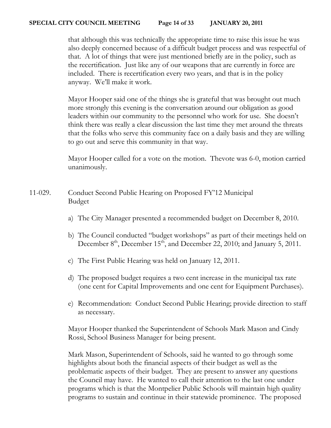#### **SPECIAL CITY COUNCIL MEETING Page 14 of 33 JANUARY 20, 2011**

that although this was technically the appropriate time to raise this issue he was also deeply concerned because of a difficult budget process and was respectful of that. A lot of things that were just mentioned briefly are in the policy, such as the recertification. Just like any of our weapons that are currently in force are included. There is recertification every two years, and that is in the policy anyway. We'll make it work.

Mayor Hooper said one of the things she is grateful that was brought out much more strongly this evening is the conversation around our obligation as good leaders within our community to the personnel who work for use. She doesn't think there was really a clear discussion the last time they met around the threats that the folks who serve this community face on a daily basis and they are willing to go out and serve this community in that way.

Mayor Hooper called for a vote on the motion. Thevote was 6-0, motion carried unanimously.

# 11-029. Conduct Second Public Hearing on Proposed FY'12 Municipal Budget

- a) The City Manager presented a recommended budget on December 8, 2010.
- b) The Council conducted "budget workshops" as part of their meetings held on December 8<sup>th</sup>, December 15<sup>th</sup>, and December 22, 2010; and January 5, 2011.
- c) The First Public Hearing was held on January 12, 2011.
- d) The proposed budget requires a two cent increase in the municipal tax rate (one cent for Capital Improvements and one cent for Equipment Purchases).
- e) Recommendation: Conduct Second Public Hearing; provide direction to staff as necessary.

Mayor Hooper thanked the Superintendent of Schools Mark Mason and Cindy Rossi, School Business Manager for being present.

Mark Mason, Superintendent of Schools, said he wanted to go through some highlights about both the financial aspects of their budget as well as the problematic aspects of their budget. They are present to answer any questions the Council may have. He wanted to call their attention to the last one under programs which is that the Montpelier Public Schools will maintain high quality programs to sustain and continue in their statewide prominence. The proposed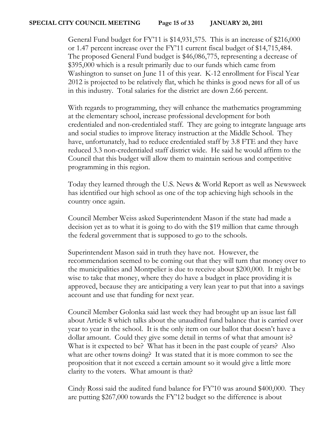General Fund budget for FY'11 is \$14,931,575. This is an increase of \$216,000 or 1.47 percent increase over the FY'11 current fiscal budget of \$14,715,484. The proposed General Fund budget is \$46,086,775, representing a decrease of \$395,000 which is a result primarily due to our funds which came from Washington to sunset on June 11 of this year. K-12 enrollment for Fiscal Year 2012 is projected to be relatively flat, which he thinks is good news for all of us in this industry. Total salaries for the district are down 2.66 percent.

With regards to programming, they will enhance the mathematics programming at the elementary school, increase professional development for both credentialed and non-credentialed staff. They are going to integrate language arts and social studies to improve literacy instruction at the Middle School. They have, unfortunately, had to reduce credentialed staff by 3.8 FTE and they have reduced 3.3 non-credentialed staff district wide. He said he would affirm to the Council that this budget will allow them to maintain serious and competitive programming in this region.

Today they learned through the U.S. News & World Report as well as Newsweek has identified our high school as one of the top achieving high schools in the country once again.

Council Member Weiss asked Superintendent Mason if the state had made a decision yet as to what it is going to do with the \$19 million that came through the federal government that is supposed to go to the schools.

Superintendent Mason said in truth they have not. However, the recommendation seemed to be coming out that they will turn that money over to the municipalities and Montpelier is due to receive about \$200,000. It might be wise to take that money, where they do have a budget in place providing it is approved, because they are anticipating a very lean year to put that into a savings account and use that funding for next year.

Council Member Golonka said last week they had brought up an issue last fall about Article 8 which talks about the unaudited fund balance that is carried over year to year in the school. It is the only item on our ballot that doesn't have a dollar amount. Could they give some detail in terms of what that amount is? What is it expected to be? What has it been in the past couple of years? Also what are other towns doing? It was stated that it is more common to see the proposition that it not exceed a certain amount so it would give a little more clarity to the voters. What amount is that?

Cindy Rossi said the audited fund balance for FY'10 was around \$400,000. They are putting \$267,000 towards the FY'12 budget so the difference is about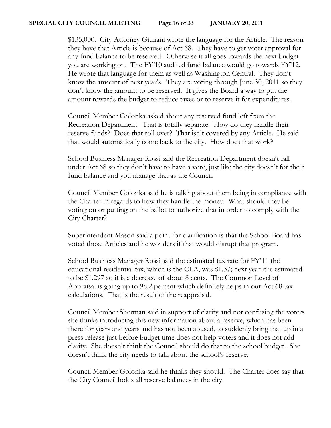\$135,000. City Attorney Giuliani wrote the language for the Article. The reason they have that Article is because of Act 68. They have to get voter approval for any fund balance to be reserved. Otherwise it all goes towards the next budget you are working on. The FY'10 audited fund balance would go towards FY'12. He wrote that language for them as well as Washington Central. They don't know the amount of next year's. They are voting through June 30, 2011 so they don't know the amount to be reserved. It gives the Board a way to put the amount towards the budget to reduce taxes or to reserve it for expenditures.

Council Member Golonka asked about any reserved fund left from the Recreation Department. That is totally separate. How do they handle their reserve funds? Does that roll over? That isn't covered by any Article. He said that would automatically come back to the city. How does that work?

School Business Manager Rossi said the Recreation Department doesn't fall under Act 68 so they don't have to have a vote, just like the city doesn't for their fund balance and you manage that as the Council.

Council Member Golonka said he is talking about them being in compliance with the Charter in regards to how they handle the money. What should they be voting on or putting on the ballot to authorize that in order to comply with the City Charter?

Superintendent Mason said a point for clarification is that the School Board has voted those Articles and he wonders if that would disrupt that program.

School Business Manager Rossi said the estimated tax rate for FY'11 the educational residential tax, which is the CLA, was \$1.37; next year it is estimated to be \$1.297 so it is a decrease of about 8 cents. The Common Level of Appraisal is going up to 98.2 percent which definitely helps in our Act 68 tax calculations. That is the result of the reappraisal.

Council Member Sherman said in support of clarity and not confusing the voters she thinks introducing this new information about a reserve, which has been there for years and years and has not been abused, to suddenly bring that up in a press release just before budget time does not help voters and it does not add clarity. She doesn't think the Council should do that to the school budget. She doesn't think the city needs to talk about the school's reserve.

Council Member Golonka said he thinks they should. The Charter does say that the City Council holds all reserve balances in the city.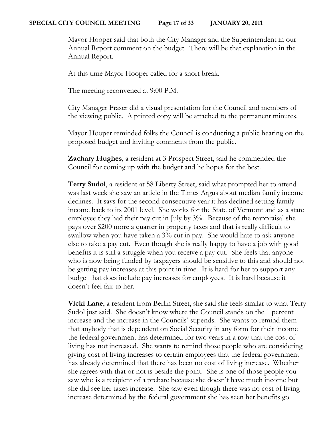Mayor Hooper said that both the City Manager and the Superintendent in our Annual Report comment on the budget. There will be that explanation in the Annual Report.

At this time Mayor Hooper called for a short break.

The meeting reconvened at 9:00 P.M.

City Manager Fraser did a visual presentation for the Council and members of the viewing public. A printed copy will be attached to the permanent minutes.

Mayor Hooper reminded folks the Council is conducting a public hearing on the proposed budget and inviting comments from the public.

**Zachary Hughes**, a resident at 3 Prospect Street, said he commended the Council for coming up with the budget and he hopes for the best.

**Terry Sudol**, a resident at 58 Liberty Street, said what prompted her to attend was last week she saw an article in the Times Argus about median family income declines. It says for the second consecutive year it has declined setting family income back to its 2001 level. She works for the State of Vermont and as a state employee they had their pay cut in July by 3%. Because of the reappraisal she pays over \$200 more a quarter in property taxes and that is really difficult to swallow when you have taken a 3% cut in pay. She would hate to ask anyone else to take a pay cut. Even though she is really happy to have a job with good benefits it is still a struggle when you receive a pay cut. She feels that anyone who is now being funded by taxpayers should be sensitive to this and should not be getting pay increases at this point in time. It is hard for her to support any budget that does include pay increases for employees. It is hard because it doesn't feel fair to her.

**Vicki Lane**, a resident from Berlin Street, she said she feels similar to what Terry Sudol just said. She doesn't know where the Council stands on the 1 percent increase and the increase in the Councils' stipends. She wants to remind them that anybody that is dependent on Social Security in any form for their income the federal government has determined for two years in a row that the cost of living has not increased. She wants to remind those people who are considering giving cost of living increases to certain employees that the federal government has already determined that there has been no cost of living increase. Whether she agrees with that or not is beside the point. She is one of those people you saw who is a recipient of a prebate because she doesn't have much income but she did see her taxes increase. She saw even though there was no cost of living increase determined by the federal government she has seen her benefits go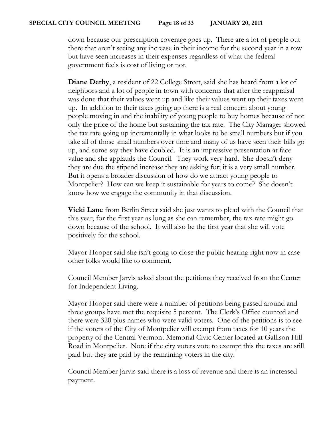down because our prescription coverage goes up. There are a lot of people out there that aren't seeing any increase in their income for the second year in a row but have seen increases in their expenses regardless of what the federal government feels is cost of living or not.

**Diane Derby**, a resident of 22 College Street, said she has heard from a lot of neighbors and a lot of people in town with concerns that after the reappraisal was done that their values went up and like their values went up their taxes went up. In addition to their taxes going up there is a real concern about young people moving in and the inability of young people to buy homes because of not only the price of the home but sustaining the tax rate. The City Manager showed the tax rate going up incrementally in what looks to be small numbers but if you take all of those small numbers over time and many of us have seen their bills go up, and some say they have doubled. It is an impressive presentation at face value and she applauds the Council. They work very hard. She doesn't deny they are due the stipend increase they are asking for; it is a very small number. But it opens a broader discussion of how do we attract young people to Montpelier? How can we keep it sustainable for years to come? She doesn't know how we engage the community in that discussion.

**Vicki Lane** from Berlin Street said she just wants to plead with the Council that this year, for the first year as long as she can remember, the tax rate might go down because of the school. It will also be the first year that she will vote positively for the school.

Mayor Hooper said she isn't going to close the public hearing right now in case other folks would like to comment.

Council Member Jarvis asked about the petitions they received from the Center for Independent Living.

Mayor Hooper said there were a number of petitions being passed around and three groups have met the requisite 5 percent. The Clerk's Office counted and there were 320 plus names who were valid voters. One of the petitions is to see if the voters of the City of Montpelier will exempt from taxes for 10 years the property of the Central Vermont Memorial Civic Center located at Gallison Hill Road in Montpelier. Note if the city voters vote to exempt this the taxes are still paid but they are paid by the remaining voters in the city.

Council Member Jarvis said there is a loss of revenue and there is an increased payment.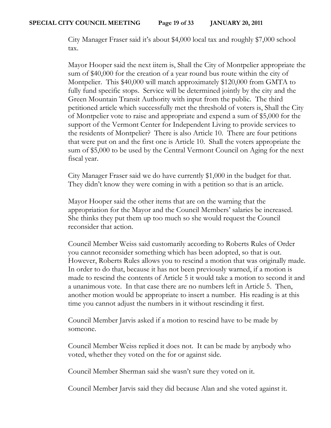City Manager Fraser said it's about \$4,000 local tax and roughly \$7,000 school tax.

Mayor Hooper said the next iitem is, Shall the City of Montpelier appropriate the sum of \$40,000 for the creation of a year round bus route within the city of Montpelier. This \$40,000 will match approximately \$120,000 from GMTA to fully fund specific stops. Service will be determined jointly by the city and the Green Mountain Transit Authority with input from the public. The third petitioned article which successfully met the threshold of voters is, Shall the City of Montpelier vote to raise and appropriate and expend a sum of \$5,000 for the support of the Vermont Center for Independent Living to provide services to the residents of Montpelier? There is also Article 10. There are four petitions that were put on and the first one is Article 10. Shall the voters appropriate the sum of \$5,000 to be used by the Central Vermont Council on Aging for the next fiscal year.

City Manager Fraser said we do have currently \$1,000 in the budget for that. They didn't know they were coming in with a petition so that is an article.

Mayor Hooper said the other items that are on the warning that the appropriation for the Mayor and the Council Members' salaries be increased. She thinks they put them up too much so she would request the Council reconsider that action.

Council Member Weiss said customarily according to Roberts Rules of Order you cannot reconsider something which has been adopted, so that is out. However, Roberts Rules allows you to rescind a motion that was originally made. In order to do that, because it has not been previously warned, if a motion is made to rescind the contents of Article 5 it would take a motion to second it and a unanimous vote. In that case there are no numbers left in Article 5. Then, another motion would be appropriate to insert a number. His reading is at this time you cannot adjust the numbers in it without rescinding it first.

Council Member Jarvis asked if a motion to rescind have to be made by someone.

Council Member Weiss replied it does not. It can be made by anybody who voted, whether they voted on the for or against side.

Council Member Sherman said she wasn't sure they voted on it.

Council Member Jarvis said they did because Alan and she voted against it.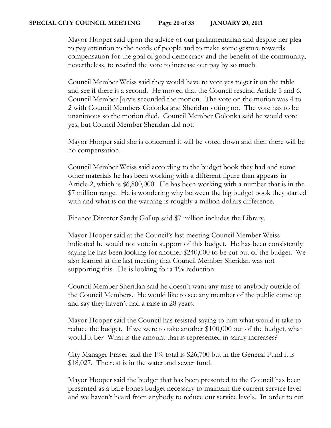Mayor Hooper said upon the advice of our parliamentarian and despite her plea to pay attention to the needs of people and to make some gesture towards compensation for the goal of good democracy and the benefit of the community, nevertheless, to rescind the vote to increase our pay by so much.

Council Member Weiss said they would have to vote yes to get it on the table and see if there is a second. He moved that the Council rescind Article 5 and 6. Council Member Jarvis seconded the motion. The vote on the motion was 4 to 2 with Council Members Golonka and Sheridan voting no. The vote has to be unanimous so the motion died. Council Member Golonka said he would vote yes, but Council Member Sheridan did not.

Mayor Hooper said she is concerned it will be voted down and then there will be no compensation.

Council Member Weiss said according to the budget book they had and some other materials he has been working with a different figure than appears in Article 2, which is \$6,800,000. He has been working with a number that is in the \$7 million range. He is wondering why between the big budget book they started with and what is on the warning is roughly a million dollars difference.

Finance Director Sandy Gallup said \$7 million includes the Library.

Mayor Hooper said at the Council's last meeting Council Member Weiss indicated he would not vote in support of this budget. He has been consistently saying he has been looking for another \$240,000 to be cut out of the budget. We also learned at the last meeting that Council Member Sheridan was not supporting this. He is looking for a 1% reduction.

Council Member Sheridan said he doesn't want any raise to anybody outside of the Council Members. He would like to see any member of the public come up and say they haven't had a raise in 28 years.

Mayor Hooper said the Council has resisted saying to him what would it take to reduce the budget. If we were to take another \$100,000 out of the budget, what would it be? What is the amount that is represented in salary increases?

City Manager Fraser said the 1% total is \$26,700 but in the General Fund it is \$18,027. The rest is in the water and sewer fund.

Mayor Hooper said the budget that has been presented to the Council has been presented as a bare bones budget necessary to maintain the current service level and we haven't heard from anybody to reduce our service levels. In order to cut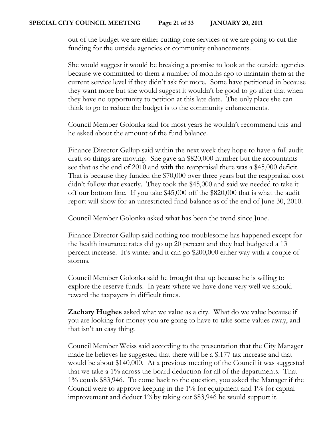out of the budget we are either cutting core services or we are going to cut the funding for the outside agencies or community enhancements.

She would suggest it would be breaking a promise to look at the outside agencies because we committed to them a number of months ago to maintain them at the current service level if they didn't ask for more. Some have petitioned in because they want more but she would suggest it wouldn't be good to go after that when they have no opportunity to petition at this late date. The only place she can think to go to reduce the budget is to the community enhancements.

Council Member Golonka said for most years he wouldn't recommend this and he asked about the amount of the fund balance.

Finance Director Gallup said within the next week they hope to have a full audit draft so things are moving. She gave an \$820,000 number but the accountants see that as the end of 2010 and with the reappraisal there was a \$45,000 deficit. That is because they funded the \$70,000 over three years but the reappraisal cost didn't follow that exactly. They took the \$45,000 and said we needed to take it off our bottom line. If you take \$45,000 off the \$820,000 that is what the audit report will show for an unrestricted fund balance as of the end of June 30, 2010.

Council Member Golonka asked what has been the trend since June.

Finance Director Gallup said nothing too troublesome has happened except for the health insurance rates did go up 20 percent and they had budgeted a 13 percent increase. It's winter and it can go \$200,000 either way with a couple of storms.

Council Member Golonka said he brought that up because he is willing to explore the reserve funds. In years where we have done very well we should reward the taxpayers in difficult times.

**Zachary Hughes** asked what we value as a city. What do we value because if you are looking for money you are going to have to take some values away, and that isn't an easy thing.

Council Member Weiss said according to the presentation that the City Manager made he believes he suggested that there will be a \$.177 tax increase and that would be about \$140,000. At a previous meeting of the Council it was suggested that we take a 1% across the board deduction for all of the departments. That 1% equals \$83,946. To come back to the question, you asked the Manager if the Council were to approve keeping in the 1% for equipment and 1% for capital improvement and deduct 1%by taking out \$83,946 he would support it.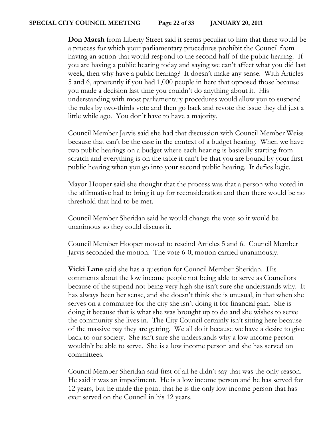**Don Marsh** from Liberty Street said it seems peculiar to him that there would be a process for which your parliamentary procedures prohibit the Council from having an action that would respond to the second half of the public hearing. If you are having a public hearing today and saying we can't affect what you did last week, then why have a public hearing? It doesn't make any sense. With Articles 5 and 6, apparently if you had 1,000 people in here that opposed those because you made a decision last time you couldn't do anything about it. His understanding with most parliamentary procedures would allow you to suspend the rules by two-thirds vote and then go back and revote the issue they did just a little while ago. You don't have to have a majority.

Council Member Jarvis said she had that discussion with Council Member Weiss because that can't be the case in the context of a budget hearing. When we have two public hearings on a budget where each hearing is basically starting from scratch and everything is on the table it can't be that you are bound by your first public hearing when you go into your second public hearing. It defies logic.

Mayor Hooper said she thought that the process was that a person who voted in the affirmative had to bring it up for reconsideration and then there would be no threshold that had to be met.

Council Member Sheridan said he would change the vote so it would be unanimous so they could discuss it.

Council Member Hooper moved to rescind Articles 5 and 6. Council Member Jarvis seconded the motion. The vote 6-0, motion carried unanimously.

**Vicki Lane** said she has a question for Council Member Sheridan. His comments about the low income people not being able to serve as Councilors because of the stipend not being very high she isn't sure she understands why. It has always been her sense, and she doesn't think she is unusual, in that when she serves on a committee for the city she isn't doing it for financial gain. She is doing it because that is what she was brought up to do and she wishes to serve the community she lives in. The City Council certainly isn't sitting here because of the massive pay they are getting. We all do it because we have a desire to give back to our society. She isn't sure she understands why a low income person wouldn't be able to serve. She is a low income person and she has served on committees.

Council Member Sheridan said first of all he didn't say that was the only reason. He said it was an impediment. He is a low income person and he has served for 12 years, but he made the point that he is the only low income person that has ever served on the Council in his 12 years.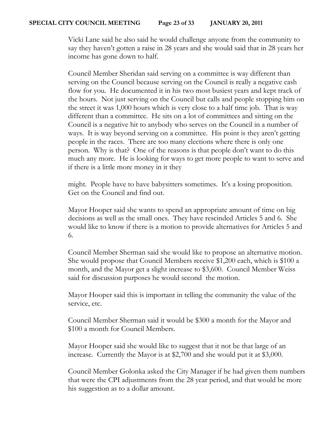#### **SPECIAL CITY COUNCIL MEETING Page 23 of 33 JANUARY 20, 2011**

Vicki Lane said he also said he would challenge anyone from the community to say they haven't gotten a raise in 28 years and she would said that in 28 years her income has gone down to half.

Council Member Sheridan said serving on a committee is way different than serving on the Council because serving on the Council is really a negative cash flow for you. He documented it in his two most busiest years and kept track of the hours. Not just serving on the Council but calls and people stopping him on the street it was 1,000 hours which is very close to a half time job. That is way different than a committee. He sits on a lot of committees and sitting on the Council is a negative hit to anybody who serves on the Council in a number of ways. It is way beyond serving on a committee. His point is they aren't getting people in the races. There are too many elections where there is only one person. Why is that? One of the reasons is that people don't want to do this much any more. He is looking for ways to get more people to want to serve and if there is a little more money in it they

might. People have to have babysitters sometimes. It's a losing proposition. Get on the Council and find out.

Mayor Hooper said she wants to spend an appropriate amount of time on big decisions as well as the small ones. They have rescinded Articles 5 and 6. She would like to know if there is a motion to provide alternatives for Articles 5 and 6.

Council Member Sherman said she would like to propose an alternative motion. She would propose that Council Members receive \$1,200 each, which is \$100 a month, and the Mayor get a slight increase to \$3,600. Council Member Weiss said for discussion purposes he would second the motion.

Mayor Hooper said this is important in telling the community the value of the service, etc.

Council Member Sherman said it would be \$300 a month for the Mayor and \$100 a month for Council Members.

Mayor Hooper said she would like to suggest that it not be that large of an increase. Currently the Mayor is at \$2,700 and she would put it at \$3,000.

Council Member Golonka asked the City Manager if he had given them numbers that were the CPI adjustments from the 28 year period, and that would be more his suggestion as to a dollar amount.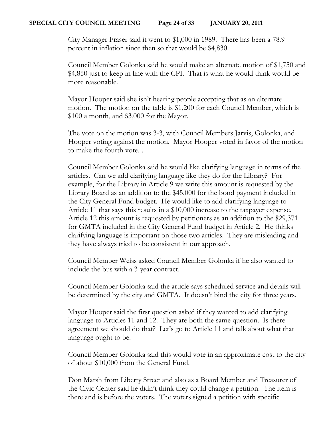City Manager Fraser said it went to \$1,000 in 1989. There has been a 78.9 percent in inflation since then so that would be \$4,830.

Council Member Golonka said he would make an alternate motion of \$1,750 and \$4,850 just to keep in line with the CPI. That is what he would think would be more reasonable.

Mayor Hooper said she isn't hearing people accepting that as an alternate motion. The motion on the table is \$1,200 for each Council Member, which is \$100 a month, and \$3,000 for the Mayor.

The vote on the motion was 3-3, with Council Members Jarvis, Golonka, and Hooper voting against the motion. Mayor Hooper voted in favor of the motion to make the fourth vote. .

Council Member Golonka said he would like clarifying language in terms of the articles. Can we add clarifying language like they do for the Library? For example, for the Library in Article 9 we write this amount is requested by the Library Board as an addition to the \$45,000 for the bond payment included in the City General Fund budget. He would like to add clarifying language to Article 11 that says this results in a \$10,000 increase to the taxpayer expense. Article 12 this amount is requested by petitioners as an addition to the \$29,371 for GMTA included in the City General Fund budget in Article 2. He thinks clarifying language is important on those two articles. They are misleading and they have always tried to be consistent in our approach.

Council Member Weiss asked Council Member Golonka if he also wanted to include the bus with a 3-year contract.

Council Member Golonka said the article says scheduled service and details will be determined by the city and GMTA. It doesn't bind the city for three years.

Mayor Hooper said the first question asked if they wanted to add clarifying language to Articles 11 and 12. They are both the same question. Is there agreement we should do that? Let's go to Article 11 and talk about what that language ought to be.

Council Member Golonka said this would vote in an approximate cost to the city of about \$10,000 from the General Fund.

Don Marsh from Liberty Street and also as a Board Member and Treasurer of the Civic Center said he didn't think they could change a petition. The item is there and is before the voters. The voters signed a petition with specific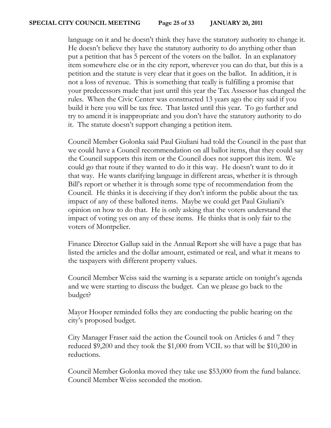language on it and he doesn't think they have the statutory authority to change it. He doesn't believe they have the statutory authority to do anything other than put a petition that has 5 percent of the voters on the ballot. In an explanatory item somewhere else or in the city report, wherever you can do that, but this is a petition and the statute is very clear that it goes on the ballot. In addition, it is not a loss of revenue. This is something that really is fulfilling a promise that your predecessors made that just until this year the Tax Assessor has changed the rules. When the Civic Center was constructed 13 years ago the city said if you build it here you will be tax free. That lasted until this year. To go further and try to amend it is inappropriate and you don't have the statutory authority to do it. The statute doesn't support changing a petition item.

Council Member Golonka said Paul Giuliani had told the Council in the past that we could have a Council recommendation on all ballot items, that they could say the Council supports this item or the Council does not support this item. We could go that route if they wanted to do it this way. He doesn't want to do it that way. He wants clarifying language in different areas, whether it is through Bill's report or whether it is through some type of recommendation from the Council. He thinks it is deceiving if they don't inform the public about the tax impact of any of these balloted items. Maybe we could get Paul Giuliani's opinion on how to do that. He is only asking that the voters understand the impact of voting yes on any of these items. He thinks that is only fair to the voters of Montpelier.

Finance Director Gallup said in the Annual Report she will have a page that has listed the articles and the dollar amount, estimated or real, and what it means to the taxpayers with different property values.

Council Member Weiss said the warning is a separate article on tonight's agenda and we were starting to discuss the budget. Can we please go back to the budget?

Mayor Hooper reminded folks they are conducting the public hearing on the city's proposed budget.

City Manager Fraser said the action the Council took on Articles 6 and 7 they reduced \$9,200 and they took the \$1,000 from VCIL so that will be \$10,200 in reductions.

Council Member Golonka moved they take use \$53,000 from the fund balance. Council Member Weiss seconded the motion.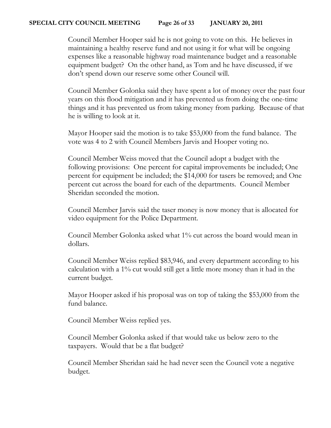#### **SPECIAL CITY COUNCIL MEETING Page 26 of 33 JANUARY 20, 2011**

Council Member Hooper said he is not going to vote on this. He believes in maintaining a healthy reserve fund and not using it for what will be ongoing expenses like a reasonable highway road maintenance budget and a reasonable equipment budget? On the other hand, as Tom and he have discussed, if we don't spend down our reserve some other Council will.

Council Member Golonka said they have spent a lot of money over the past four years on this flood mitigation and it has prevented us from doing the one-time things and it has prevented us from taking money from parking. Because of that he is willing to look at it.

Mayor Hooper said the motion is to take \$53,000 from the fund balance. The vote was 4 to 2 with Council Members Jarvis and Hooper voting no.

Council Member Weiss moved that the Council adopt a budget with the following provisions: One percent for capital improvements be included; One percent for equipment be included; the \$14,000 for tasers be removed; and One percent cut across the board for each of the departments. Council Member Sheridan seconded the motion.

Council Member Jarvis said the taser money is now money that is allocated for video equipment for the Police Department.

Council Member Golonka asked what 1% cut across the board would mean in dollars.

Council Member Weiss replied \$83,946, and every department according to his calculation with a 1% cut would still get a little more money than it had in the current budget.

Mayor Hooper asked if his proposal was on top of taking the \$53,000 from the fund balance.

Council Member Weiss replied yes.

Council Member Golonka asked if that would take us below zero to the taxpayers. Would that be a flat budget?

Council Member Sheridan said he had never seen the Council vote a negative budget.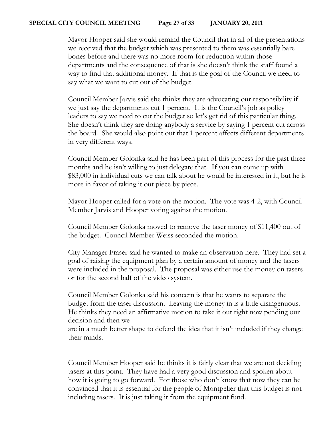#### **SPECIAL CITY COUNCIL MEETING Page 27 of 33 JANUARY 20, 2011**

Mayor Hooper said she would remind the Council that in all of the presentations we received that the budget which was presented to them was essentially bare bones before and there was no more room for reduction within those departments and the consequence of that is she doesn't think the staff found a way to find that additional money. If that is the goal of the Council we need to say what we want to cut out of the budget.

Council Member Jarvis said she thinks they are advocating our responsibility if we just say the departments cut 1 percent. It is the Council's job as policy leaders to say we need to cut the budget so let's get rid of this particular thing. She doesn't think they are doing anybody a service by saying 1 percent cut across the board. She would also point out that 1 percent affects different departments in very different ways.

Council Member Golonka said he has been part of this process for the past three months and he isn't willing to just delegate that. If you can come up with \$83,000 in individual cuts we can talk about he would be interested in it, but he is more in favor of taking it out piece by piece.

Mayor Hooper called for a vote on the motion. The vote was 4-2, with Council Member Jarvis and Hooper voting against the motion.

Council Member Golonka moved to remove the taser money of \$11,400 out of the budget. Council Member Weiss seconded the motion.

City Manager Fraser said he wanted to make an observation here. They had set a goal of raising the equipment plan by a certain amount of money and the tasers were included in the proposal. The proposal was either use the money on tasers or for the second half of the video system.

Council Member Golonka said his concern is that he wants to separate the budget from the taser discussion. Leaving the money in is a little disingenuous. He thinks they need an affirmative motion to take it out right now pending our decision and then we

are in a much better shape to defend the idea that it isn't included if they change their minds.

Council Member Hooper said he thinks it is fairly clear that we are not deciding tasers at this point. They have had a very good discussion and spoken about how it is going to go forward. For those who don't know that now they can be convinced that it is essential for the people of Montpelier that this budget is not including tasers. It is just taking it from the equipment fund.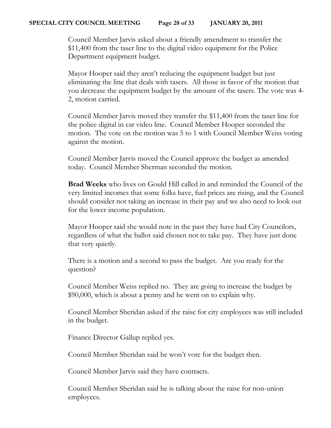Council Member Jarvis asked about a friendly amendment to transfer the \$11,400 from the taser line to the digital video equipment for the Police Department equipment budget.

Mayor Hooper said they aren't reducing the equipment budget but just eliminating the line that deals with tasers. All those in favor of the motion that you decrease the equipment budget by the amount of the tasers. The vote was 4- 2, motion carried.

Council Member Jarvis moved they transfer the \$11,400 from the taser line for the police digital in car video line. Council Member Hooper seconded the motion. The vote on the motion was 5 to 1 with Council Member Weiss voting against the motion.

Council Member Jarvis moved the Council approve the budget as amended today. Council Member Sherman seconded the motion.

**Brad Weeks** who lives on Gould Hill called in and reminded the Council of the very limited incomes that some folks have, fuel prices are rising, and the Council should consider not taking an increase in their pay and we also need to look out for the lower income population.

Mayor Hooper said she would note in the past they have had City Councilors, regardless of what the ballot said chosen not to take pay. They have just done that very quietly.

There is a motion and a second to pass the budget. Are you ready for the question?

Council Member Weiss replied no. They are going to increase the budget by \$90,000, which is about a penny and he went on to explain why.

Council Member Sheridan asked if the raise for city employees was still included in the budget.

Finance Director Gallup replied yes.

Council Member Sheridan said he won't vote for the budget then.

Council Member Jarvis said they have contracts.

Council Member Sheridan said he is talking about the raise for non-union employees.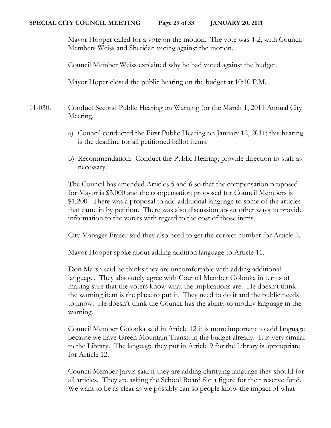Mayor Hooper called for a vote on the motion. The vote was 4-2, with Council Members Weiss and Sheridan voting against the motion.

Council Member Weiss explained why he had voted against the budget.

Mayor Hoper closed the public hearing on the budget at 10:10 P.M.

- 11-030. Conduct Second Public Hearing on Warning for the March 1, 2011 Annual City Meeting.
	- a) Council conducted the First Public Hearing on January 12, 2011; this hearing is the deadline for all petitioned ballot items.
	- b) Recommendation: Conduct the Public Hearing; provide direction to staff as necessary.

The Council has amended Articles 5 and 6 so that the compensation proposed for Mayor is \$3,000 and the compensation proposed for Council Members is \$1,200. There was a proposal to add additional language to some of the articles that came in by petition. There was also discussion about other ways to provide information to the voters with regard to the cost of those items.

City Manager Fraser said they also need to get the correct number for Article 2.

Mayor Hooper spoke about adding addition language to Article 11.

Don Marsh said he thinks they are uncomfortable with adding additional language. They absolutely agree with Council Member Golonka in terms of making sure that the voters know what the implications are. He doesn't think the warning item is the place to put it. They need to do it and the public needs to know. He doesn't think the Council has the ability to modify language in the warning.

Council Member Golonka said in Article 12 it is more important to add language because we have Green Mountain Transit in the budget already. It is very similar to the Library. The language they put in Article 9 for the Library is appropriate for Article 12.

Council Member Jarvis said if they are adding clarifying language they should for all articles. They are asking the School Board for a figure for their reserve fund. We want to be as clear as we possibly can so people know the impact of what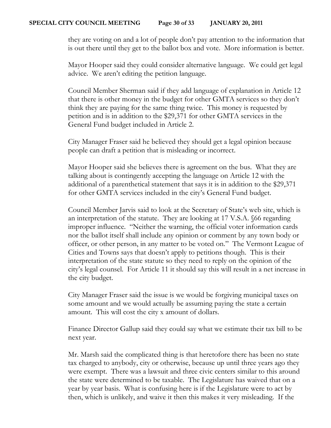they are voting on and a lot of people don't pay attention to the information that is out there until they get to the ballot box and vote. More information is better.

Mayor Hooper said they could consider alternative language. We could get legal advice. We aren't editing the petition language.

Council Member Sherman said if they add language of explanation in Article 12 that there is other money in the budget for other GMTA services so they don't think they are paying for the same thing twice. This money is requested by petition and is in addition to the \$29,371 for other GMTA services in the General Fund budget included in Article 2.

City Manager Fraser said he believed they should get a legal opinion because people can draft a petition that is misleading or incorrect.

Mayor Hooper said she believes there is agreement on the bus. What they are talking about is contingently accepting the language on Article 12 with the additional of a parenthetical statement that says it is in addition to the \$29,371 for other GMTA services included in the city's General Fund budget.

Council Member Jarvis said to look at the Secretary of State's web site, which is an interpretation of the statute. They are looking at 17 V.S.A. §66 regarding improper influence. "Neither the warning, the official voter information cards nor the ballot itself shall include any opinion or comment by any town body or officer, or other person, in any matter to be voted on." The Vermont League of Cities and Towns says that doesn't apply to petitions though. This is their interpretation of the state statute so they need to reply on the opinion of the city's legal counsel. For Article 11 it should say this will result in a net increase in the city budget.

City Manager Fraser said the issue is we would be forgiving municipal taxes on some amount and we would actually be assuming paying the state a certain amount. This will cost the city x amount of dollars.

Finance Director Gallup said they could say what we estimate their tax bill to be next year.

Mr. Marsh said the complicated thing is that heretofore there has been no state tax charged to anybody, city or otherwise, because up until three years ago they were exempt. There was a lawsuit and three civic centers similar to this around the state were determined to be taxable. The Legislature has waived that on a year by year basis. What is confusing here is if the Legislature were to act by then, which is unlikely, and waive it then this makes it very misleading. If the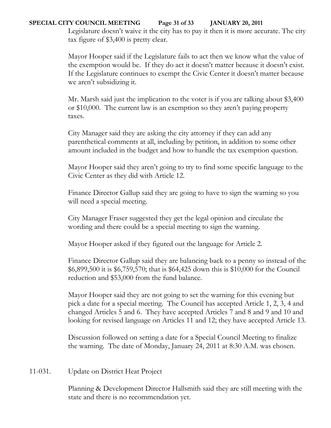## **SPECIAL CITY COUNCIL MEETING Page 31 of 33 JANUARY 20, 2011**

Legislature doesn't waive it the city has to pay it then it is more accurate. The city tax figure of \$3,400 is pretty clear.

Mayor Hooper said if the Legislature fails to act then we know what the value of the exemption would be. If they do act it doesn't matter because it doesn't exist. If the Legislature continues to exempt the Civic Center it doesn't matter because we aren't subsidizing it.

Mr. Marsh said just the implication to the voter is if you are talking about \$3,400 or \$10,000. The current law is an exemption so they aren't paying property taxes.

City Manager said they are asking the city attorney if they can add any parenthetical comments at all, including by petition, in addition to some other amount included in the budget and how to handle the tax exemption question.

Mayor Hooper said they aren't going to try to find some specific language to the Civic Center as they did with Article 12.

Finance Director Gallup said they are going to have to sign the warning so you will need a special meeting.

City Manager Fraser suggested they get the legal opinion and circulate the wording and there could be a special meeting to sign the warning.

Mayor Hooper asked if they figured out the language for Article 2.

Finance Director Gallup said they are balancing back to a penny so instead of the \$6,899,500 it is \$6,759,570; that is \$64,425 down this is \$10,000 for the Council reduction and \$53,000 from the fund balance.

Mayor Hooper said they are not going to set the warning for this evening but pick a date for a special meeting. The Council has accepted Article 1, 2, 3, 4 and changed Articles 5 and 6. They have accepted Articles 7 and 8 and 9 and 10 and looking for revised language on Articles 11 and 12; they have accepted Article 13.

Discussion followed on setting a date for a Special Council Meeting to finalize the warning. The date of Monday, January 24, 2011 at 8:30 A.M. was chosen.

## 11-031. Update on District Heat Project

Planning & Development Director Hallsmith said they are still meeting with the state and there is no recommendation yet.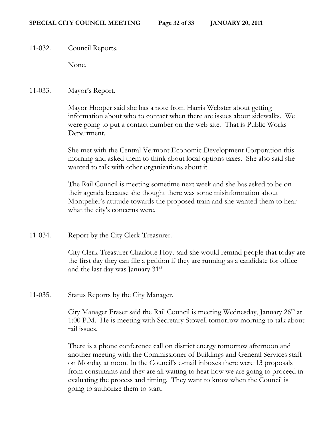11-032. Council Reports.

None.

11-033. Mayor's Report.

Mayor Hooper said she has a note from Harris Webster about getting information about who to contact when there are issues about sidewalks. We were going to put a contact number on the web site. That is Public Works Department.

She met with the Central Vermont Economic Development Corporation this morning and asked them to think about local options taxes. She also said she wanted to talk with other organizations about it.

The Rail Council is meeting sometime next week and she has asked to be on their agenda because she thought there was some misinformation about Montpelier's attitude towards the proposed train and she wanted them to hear what the city's concerns were.

11-034. Report by the City Clerk-Treasurer.

City Clerk-Treasurer Charlotte Hoyt said she would remind people that today are the first day they can file a petition if they are running as a candidate for office and the last day was January 31<sup>st</sup>.

11-035. Status Reports by the City Manager.

City Manager Fraser said the Rail Council is meeting Wednesday, January  $26<sup>th</sup>$  at 1:00 P.M. He is meeting with Secretary Stowell tomorrow morning to talk about rail issues.

There is a phone conference call on district energy tomorrow afternoon and another meeting with the Commissioner of Buildings and General Services staff on Monday at noon. In the Council's e-mail inboxes there were 13 proposals from consultants and they are all waiting to hear how we are going to proceed in evaluating the process and timing. They want to know when the Council is going to authorize them to start.